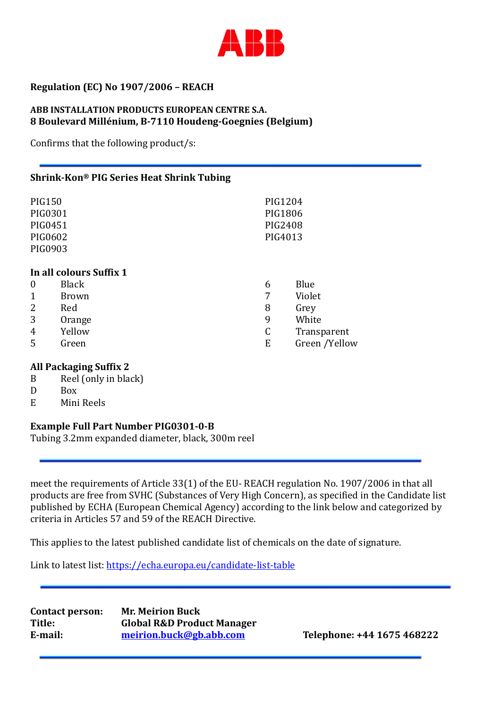

# Regulation (EC) No 1907/2006 – REACH

### ABB INSTALLATION PRODUCTS EUROPEAN CENTRE S.A. 8 Boulevard Millénium, B-7110 Houdeng-Goegnies (Belgium)

Confirms that the following product/s:

### Shrink-Kon® PIG Series Heat Shrink Tubing

| <b>PIG150</b>           |              | PIG1204 |               |
|-------------------------|--------------|---------|---------------|
| PIG0301                 |              | PIG1806 |               |
| PIG0451                 |              | PIG2408 |               |
| PIG0602                 |              | PIG4013 |               |
| PIG0903                 |              |         |               |
|                         |              |         |               |
| In all colours Suffix 1 |              |         |               |
| $\boldsymbol{0}$        | <b>Black</b> | 6       | Blue          |
| $\mathbf{1}$            | <b>Brown</b> | 7       | Violet        |
| 2                       | Red          | 8       | Grey          |
| 3                       | Orange       | 9       | White         |
| 4                       | Yellow       | C       | Transparent   |
| 5                       | Green        | E       | Green /Yellow |
|                         |              |         |               |

#### All Packaging Suffix 2

- B Reel (only in black)
- D Box
- E Mini Reels

## Example Full Part Number PIG0301-0-B

Tubing 3.2mm expanded diameter, black, 300m reel

meet the requirements of Article 33(1) of the EU- REACH regulation No. 1907/2006 in that all products are free from SVHC (Substances of Very High Concern), as specified in the Candidate list published by ECHA (European Chemical Agency) according to the link below and categorized by criteria in Articles 57 and 59 of the REACH Directive.

This applies to the latest published candidate list of chemicals on the date of signature.

Link to latest list: https://echa.europa.eu/candidate-list-table

Contact person: Mr. Meirion Buck Title: Global R&D Product Manager E-mail: meirion.buck@gb.abb.com Telephone: +44 1675 468222